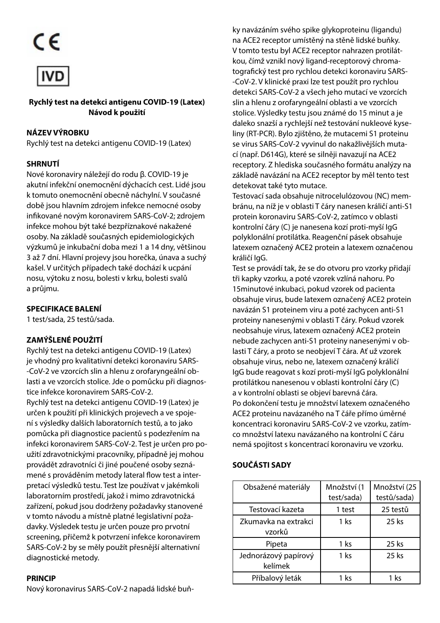CE



**COVID-19 Antigen Rapid Test (Latex) Rychlý test na detekci antigenu COVID-19 (Latex) Instructions For Use Návod k použití**

#### 【**PRODUCT NAME**】 **NÁZEV VÝROBKU**

Rychlý test na detekci antigenu COVID-19 (Latex)

## 【**SUMMARY**】 **SHRNUTÍ**

Nové koronaviry náležejí do rodu β. COVID-19 je akutní infekční onemocnění dýchacích cest. Lidé jsou k tomuto onemocnění obecně náchylní. V současné době jsou hlavním zdrojem infekce nemocné osoby infekce mohou být také bezpříznakové nakažené osoby. Na základě současných epidemiologických výzkumů je inkubační doba mezi 1 a 14 dny, většinou 3 až 7 dní. Hlavní projevy jsou horečka, únava a suchý naseli v areitych pripadech také dočnází k depah<br>nosu, výtoku z nosu, bolesti v krku, bolesti svalů 【**PACKING SPECIFICATIONS**】 a průjmu. infikované novým koronavirem SARS-CoV-2; zdrojem kašel. V určitých případech také dochází k ucpání

#### 【**INTENDED USE**】 **SPECIFIKACE BALENÍ**

1 test/sada, 25 testů/sada.

## qualitative detection of novel coronavirus in posterior **ZAMÝŠLENÉ POUŽITÍ**

Rychlý test na detekci antigenu COVID-19 (Latex) je vhodný pro kvalitativní detekci koronaviru SARS--CoV-2 ve vzorcích slin a hlenu z orofaryngeální oblasti a ve vzorcích stolice. Jde o pomůcku při diagnos-Rychlý test na detekci antigenu COVID-19 (Latex) je určen k použití při klinických projevech a ve spojení s výsledky dalších laboratorních testů, a to jako pomůcka při diagnostice pacientů s podezřením na mieke koronávnem brato cov z. test je dresn pro po<br>užití zdravotnickými pracovníky, případně jej mohou provádět zdravotníci či jiné poučené osoby seznámené s prováděním metody lateral flow test a interpretací výsledků testu. Test lze používat v jakémkoli laboratorním prostředí, jakož i mimo zdravotnická performed in order to obtain the confirmation of SARS-CoV-2 v tomto návodu a místně platné legislativní požadavky. Výsledek testu je určen pouze pro prvotní screening, přičemž k potvrzení infekce koronavirem SARS-CoV-2 by se měly použít přesnější alternativní diagnostické metody. tice infekce koronavirem SARS-CoV-2. infekci koronavirem SARS-CoV-2. Test je určen pro pozařízení, pokud jsou dodrženy požadavky stanovené

#### located on human cellular membrane. In this test the ACE2 **PRINCIP**

Nový koronavirus SARS-CoV-2 napadá lidské buň-

ky navázáním svého spike glykoproteinu (ligandu)<br>. V tomto testu byl ACE2 receptor nahrazen protilátkou, čímž vznikl nový ligand-receptorový chromatografický test pro rychlou detekci koronaviru SARS--CoV-2. V klinické praxi lze test použít pro rychlou The test only takes 15 minutes to perform and is much easier and slin a hlenu z orofaryngeální oblasti a ve vzorcích stolice. Výsledky testu jsou známé do 15 minut a je daleko snazší a rychlejší než testování nukleové kyseliny (RT-PCR). Bylo zjištěno, že mutacemi S1 proteinu se virus SARS-CoV-2 vyvinul do nakažlivějších mutareceptory. Z hlediska současného formátu analýzy na základě navázání na ACE2 receptor by měl tento test The test kit contains a nitrocellulose (NC) membrane on to detekovat také tyto mutace. na ACE2 receptor umístěný na stěně lidské buňky. detekci SARS-CoV-2 a všech jeho mutací ve vzorcích cí (např. D614G), které se silněji navazují na ACE2

Testovací sada obsahuje nitrocelulózovou (NC) membránu, na níž je v oblasti T čáry nanesen králičí anti-S1 .<br>kontrolní čáry (C) je nanesena kozí proti-myší IgG polyklonální protilátka. Reagenční pásek obsahuje latexem označený ACE2 protein a latexem označenou  $T$ on the test three drops of the sample are added to the sample are added to the sample are added to the sample are added to the sample are added to the sample are added to the sample are added to the sample are added to protein koronaviru SARS-CoV-2, zatímco v oblasti králičí IgG.

sample provádí tan, že se do strora pro vzsník pridají.<br>tři kapky vzorku, a poté vzorek vzlíná nahoru. Po 15 minutové inkubaci, pokud vzorek od pacienta obsahuje virus, bude latexem označený ACE2 protein navázán S1 proteinem viru a poté zachycen anti-S1 proteiny nanesenými v oblasti T čáry. Pokud vzorek nebude zachycen anti-S1 proteiny nanesenými v oblasti T čáry, a proto se neobjeví T čára. Ať už vzorek obsahuje virus, nebo ne, latexem označený králičí IgG bude reagovat s kozí proti-myší IgG polyklonální protilátkou nanesenou v oblasti kontrolní čáry (C) Po dokončení testu je množství latexem označeného ACE2 proteinu navázaného na T čáře přímo úměrné koncentraci koronaviru SARS-CoV-2 ve vzorku, zatímco množství latexu navázaného na kontrolní C čáru nemá spojitost s koncentrací koronaviru ve vzorku. Test se provádí tak, že se do otvoru pro vzorky přidají neobsahuje virus, latexem označený ACE2 protein a v kontrolní oblasti se objeví barevná čára.

#### coronavirus in the sample. **SOUČÁSTI SADY** 【**KIT COMPONENTS**】

| Obsažené materiály              | Množství (1<br>test/sada) | Množství (25<br>testů/sada) |
|---------------------------------|---------------------------|-----------------------------|
| Testovací kazeta                | 1 test                    | 25 testů                    |
| Zkumavka na extrakci<br>vzorků  | 1 ks                      | 25 ks                       |
| Pipeta                          | 1 ks                      | 25 ks                       |
| Jednorázový papírový<br>kelímek | $1$ ks                    | 25 ks                       |
| Příbalový leták                 | 1 ks                      | 1 ks                        |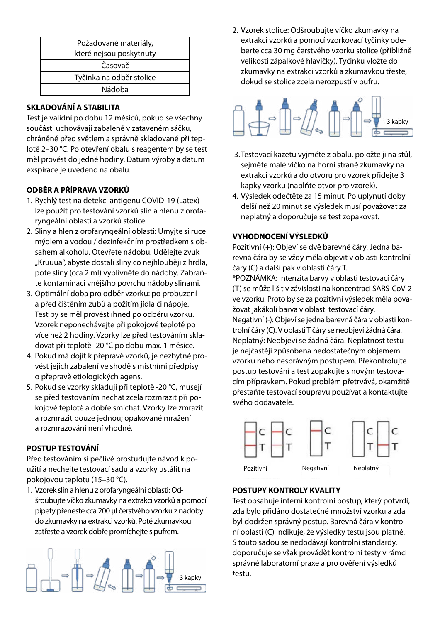| Požadované materiály,    |  |
|--------------------------|--|
| které nejsou poskytnuty  |  |
| Časovač                  |  |
| Tyčinka na odběr stolice |  |
| Nádoba                   |  |

## packaged in the sealed pouch, protected from light and stored 【**STORAGE AND STABILITY**】 **SKLADOVÁNÍ A STABILITA**

Test je validní po dobu 12 měsíců, pokud se všechny součásti uchovávají zabalené v zataveném sáčku, chráněné před světlem a správně skladované při teplotě 2–30 °C. Po otevření obalu s reagentem by se test měl provést do jedné hodiny. Datum výroby a datum<br>Datum exspirace je uvedeno na obalu.

## ODBĚR A PŘÍPRAVA VZORKŮ

- lze použít pro testování vzorků slin a hlenu z orofaryngeální oblasti a vzorků stolice. 1. Rychlý test na detekci antigenu COVID-19 (Latex)
- 2. Sliny a hlen z orofaryngeální oblasti: Umyjte si ruce mýdlem a vodou / dezinfekčním prostředkem s obsalien alionologi. Oteviete hadoba. odelejti poté sliny (cca 2 ml) vyplivněte do nádoby. Zabraň-<br>te kontaminaci vnějšího povrchu nádoby slinami. te kontaminaci vnějšího povrchu nádoby slinami. sahem alkoholu. Otevřete nádobu. Udělejte zvuk "Kruuua", abyste dostali sliny co nejhlouběji z hrdla,
- a před čištěním zubů a požitím jídla či nápoje. Test by se měl provést ihned po odběru vzorku. Vzorek neponechávejte při pokojové teplotě po prior to testing. 3. The test should be performed immediately after the sample is více než 2 hodiny. Vzorky lze před testováním skladovat při teplotě -20 °C po dobu max. 1 měsíce. 3. Optimální doba pro odběr vzorku: po probuzení
- a.<br>Pokud má dojít k přepravě vzorků, je nezbytné provést jejich zabalení ve shodě s místními předpisy o přepravě etiologických agens.
- 5. Pokud se vzorky skladují při teplotě -20 ℃, musejí temperature, that the complete prior to testing. <sub>2</sub><br>a rozmrazit pouze jednou; opakované mražení a rozmrazování není vhodné. se visual se visual se visual procesor covering the transportations se před testováním nechat zcela rozmrazit při etiologica<br> kojové teplotě a dobře smíchat. Vzorky lze zmrazit

# 【**TESTING PROCEDURE**】 The samples can be frozen and thawed once and repeated freezing **POSTUP TESTOVÁNÍ**

. <del>. . . . . . . . . . . . . . .</del><br>Před testováním si pečlivě prostudujte návod k po**and specimens to equilibrate to temperature (15℃-30℃) prior**  【**TESTING PROCEDURE**】 užití a nechejte testovací sadu a vzorky ustálit na pokojovou teplotu (15–30 °C).

1. Vzorek slin a hlenu z orofaryngeální oblasti: Od-Sample Extraction Tube and transfer approximately 200μL of fresh **and specimens to equilibrate to temperature (15℃-30℃) prior**  šroubujte víčko zkumavky na extrakci vzorků a pomocí saliva or sputum from container into the Sample Extraction Tube **to testing.** pipety přeneste cca 200 μl čerstvého vzorku z nádoby .<br>do zkumavky na extrakci vzorků. Poté zkumavkou zatřeste a vzorek dobře promíchejte s pufrem.



extrakci vzorků a pomocí vzorkovací tyčinky odeberte cca 30 mg čerstvého vzorku stolice (přibližně velikosti zápalkové hlavičky). Tyčinku vložte do  $\frac{1}{\sqrt{2}}$  into the Sample Extraction Tube and mix completely dokud se stolice zcela nerozpustí v pufru. zkumavky na extrakci vzorků a zkumavkou třeste, 2. Vzorek stolice: Odšroubujte víčko zkumavky na



- 3. Testovací kazetu vyjměte z obalu, položte ji na stůl, sejměte malé víčko na horní straně zkumavky na up the sample hole). move off the small cap on the top of the sample extraction tube, kapky vzorku (naplňte otvor pro vzorek). extrakci vzorků a do otvoru pro vzorek přidejte 3
- $\frac{1}{4}$ . Read the result and  $\frac{1}{4}$  is the result of  $\frac{1}{4}$  minutes. If  $\frac{1}{4}$  is the  $\frac{1}{4}$ delší než 20 minut se výsledek musí považovat za neplatný a doporučuje se test zopakovat. 4. Výsledek odečtěte za 15 minut. Po uplynutí doby

#### *d* in the control line region (C) and another line should be control and another line should be control and another line should be control and another line should be control and another line should be control and anothe more the results are invalid, and a repeat test is recommended. **VYHODNOCENÍ VÝSLEDKŮ**

rozitivni (+*)*. Objev revná čára by se vždy měla objevit v oblasti kontrolní<br>*ví revná* čára by se vždy měla objevit v oblasti kontrolní Pozitivní (+): Objeví se dvě barevné čáry. Jedna bačáry (C) a další pak v oblasti čáry T.

 $\sum_{k}$ (T) se může lišit v závislosti na koncentraci SARS-CoV-2 ve vzorku. Proto by se za pozitivní výsledek měla považovat jakákoli barva v oblasti testovací čáry. zovat jakakolí barvá v oblasti testováci cary.<br>Negativní (-): Objeví se jedna barevná čára v oblasti kon-**Indidid:** *Controlation*<br>Insuficient species and recorded as such species in the consideration of the consideration of the consideration Neplatný: Neobjeví se žádná čára. Neplatnost testu je nejčastěji způsobena nedostatečným objemem vzorku nebo nesprávným postupem. Překontrolujte the test kit immediately and contact your local distributor. reasons for control line failure. Review the procedure and repeat cím přípravkem. Pokud problém přetrvává, okamžitě \*POZNÁMKA: Intenzita barvy v oblasti testovací čáry postup testování a test zopakujte s novým testovapřestaňte testovací soupravu používat a kontaktujte svého dodavatele.



### **POSTUPY KONTROLY KVALITY**

test obsahuje interni kontrolni postup, ktery potvrdi, zda bylo přidáno dostatečné množství vzorku a zda byl dodržen správný postup. Barevná čára v kontrol-. <del>0010. Hort moži roznan i</del><br>Test obsahuje interní kontrolní postup, který potvrdí, ní oblasti (C) indikuje, že výsledky testu jsou platné. S touto sadou se nedodávají kontrolní standardy, doporučuje se však provádět kontrolní testy v rámci správné laboratorní praxe a pro ověření výsledků testu.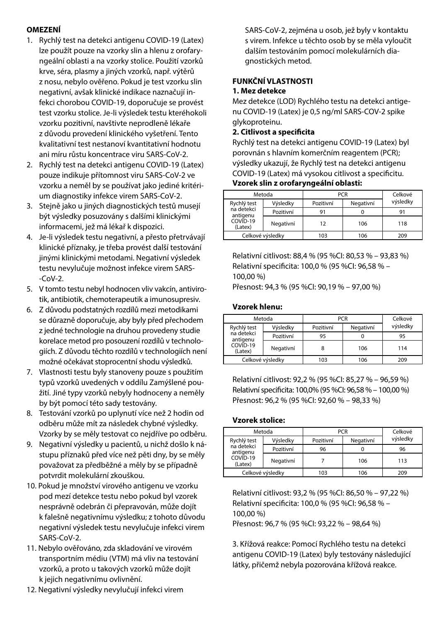### **OMEZENÍ**

- 1. Rychlý test na detekci antigenu COVID-19 (Latex) lze použít pouze na vzorky slin a hlenu z orofaryngeální oblasti a na vzorky stolice. Použití vzorků krve, séra, plasmy a jiných vzorků, např. výtěrů z nosu, nebylo ověřeno. Pokud je test vzorku slin negativní, avšak klinické indikace naznačují infekci chorobou COVID-19, doporučuje se provést test vzorku stolice. Je-li výsledek testu kteréhokoli vzorku pozitivní, navštivte neprodleně lékaře z důvodu provedení klinického vyšetření. Tento kvalitativní test nestanoví kvantitativní hodnotu ani míru růstu koncentrace viru SARS-CoV-2.
- 2. Rychlý test na detekci antigenu COVID-19 (Latex) pouze indikuje přítomnost viru SARS-CoV-2 ve vzorku a neměl by se používat jako jediné kritérium diagnostiky infekce virem SARS-CoV-2.
- 3. Stejně jako u jiných diagnostických testů musejí být výsledky posuzovány s dalšími klinickými informacemi, jež má lékař k dispozici.
- 4. Je-li výsledek testu negativní, a přesto přetrvávají klinické příznaky, je třeba provést další testování jinými klinickými metodami. Negativní výsledek testu nevylučuje možnost infekce virem SARS-  $-CoV-2$ .
- 5. V tomto testu nebyl hodnocen vliv vakcín, antivirotik, antibiotik, chemoterapeutik a imunosupresiv.
- 6. Z důvodu podstatných rozdílů mezi metodikami se důrazně doporučuje, aby byly před přechodem z jedné technologie na druhou provedeny studie korelace metod pro posouzení rozdílů v technologiích. Z důvodu těchto rozdílů v technologiích není možné očekávat stoprocentní shodu výsledků.
- 7. Vlastnosti testu byly stanoveny pouze s použitím typů vzorků uvedených v oddílu Zamýšlené použití. Jiné typy vzorků nebyly hodnoceny a neměly by být pomocí této sady testovány.
- 8. Testování vzorků po uplynutí více než 2 hodin od odběru může mít za následek chybné výsledky. Vzorky by se měly testovat co nejdříve po odběru.
- 9. Negativní výsledky u pacientů, u nichž došlo k nástupu příznaků před více než pěti dny, by se měly považovat za předběžné a měly by se případně potvrdit molekulární zkouškou.
- 10. Pokud je množství virového antigenu ve vzorku pod mezí detekce testu nebo pokud byl vzorek nesprávně odebrán či přepravován, může dojít k falešně negativnímu výsledku; z tohoto důvodu negativní výsledek testu nevylučuje infekci virem SARS-CoV-2.
- 11. Nebylo ověřováno, zda skladování ve virovém transportním médiu (VTM) má vliv na testování vzorků, a proto u takových vzorků může dojít k jejich negativnímu ovlivnění.

SARS-CoV-2, zejména u osob, jež byly v kontaktu s virem. Infekce u těchto osob by se měla vyloučit dalším testováním pomocí molekulárních diagnostických metod.

### **FUNKČNÍ VLASTNOSTI 1. Mez detekce**

Mez detekce (LOD) Rychlého testu na detekci antigenu COVID-19 (Latex) je 0,5 ng/ml SARS-COV-2 spike glykoproteinu.

#### **2. Citlivost a specificita**

Rychlý test na detekci antigenu COVID-19 (Latex) byl porovnán s hlavním komerčním reagentem (PCR); výsledky ukazují, že Rychlý test na detekci antigenu COVID-19 (Latex) má vysokou citlivost a specificitu. **Vzorek slin z orofaryngeální oblasti:**

|                        | Metoda           | <b>PCR</b> |           | Celkové  |
|------------------------|------------------|------------|-----------|----------|
| Rychlý test            | Výsledky         | Pozitivní  | Negativní | výsledky |
| na detekci<br>antigenu | Pozitivní        | 91         |           | 91       |
| COVID-19<br>(Latex)    | Negativní        | 12         | 106       | 118      |
|                        | Celkové výsledky | 103        | 106       | 209      |

Relativní citlivost: 88,4 % (95 %CI: 80,53 % – 93,83 %) Relativní specificita: 100,0 % (95 %CI: 96,58 % – 100,00 %)

Přesnost: 94,3 % (95 %CI: 90,19 % – 97,00 %)

### **Vzorek hlenu:**

| Metoda                 | <b>PCR</b>       |           |           | Celkové  |
|------------------------|------------------|-----------|-----------|----------|
| Rychlý test            | Výsledky         | Pozitivní | Negativní | výsledky |
| na detekci<br>antigenu | Pozitivní        | 95        |           | 95       |
| COVID-19<br>(Latex)    | Negativní        |           | 106       | 114      |
|                        | Celkové výsledky | 103       | 106       | 209      |

Relativní citlivost: 92,2 % (95 %CI: 85,27 % – 96,59 %) Relativní specificita: 100,0% (95 %CI: 96,58 % – 100,00 %) Přesnost: 96,2 % (95 %CI: 92,60 % – 98,33 %)

### **Vzorek stolice:**

| Metoda                 |                  | <b>PCR</b> |           | Celkové  |  |
|------------------------|------------------|------------|-----------|----------|--|
| Rychlý test            | Výsledky         | Pozitivní  | Negativní | výsledky |  |
| na detekci<br>antigenu | Pozitivní        | 96         |           | 96       |  |
| COVID-19<br>(Latex)    | Negativní        |            | 106       | 113      |  |
|                        | Celkové výsledky | 103        | 106       | 209      |  |

Relativní citlivost: 93,2 % (95 %CI: 86,50 % – 97,22 %) Relativní specificita: 100,0 % (95 %CI: 96,58 % – 100,00 %) Přesnost: 96,7 % (95 %CI: 93,22 % – 98,64 %)

3. Křížová reakce: Pomocí Rychlého testu na detekci antigenu COVID-19 (Latex) byly testovány následující látky, přičemž nebyla pozorována křížová reakce.

12. Negativní výsledky nevylučují infekci virem